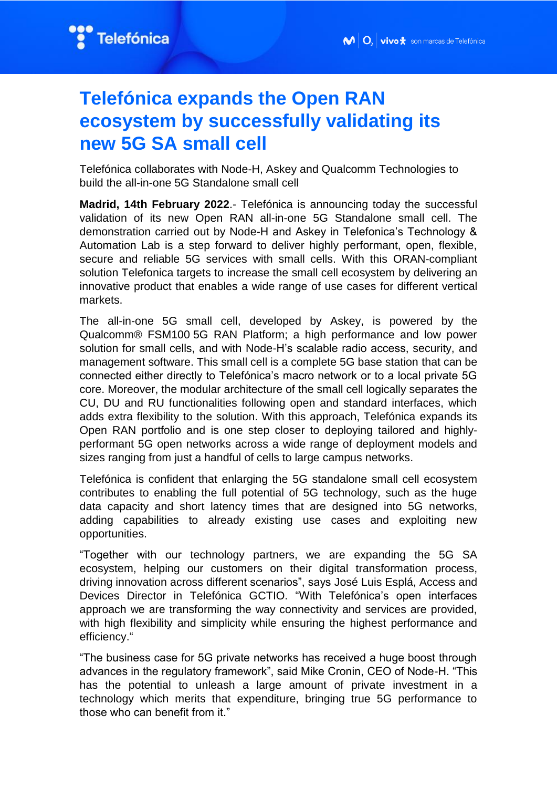

# **Telefónica expands the Open RAN ecosystem by successfully validating its new 5G SA small cell**

Telefónica collaborates with Node-H, Askey and Qualcomm Technologies to build the all-in-one 5G Standalone small cell

**Madrid, 14th February 2022**.- Telefónica is announcing today the successful validation of its new Open RAN all-in-one 5G Standalone small cell. The demonstration carried out by Node-H and Askey in Telefonica's Technology & Automation Lab is a step forward to deliver highly performant, open, flexible, secure and reliable 5G services with small cells. With this ORAN-compliant solution Telefonica targets to increase the small cell ecosystem by delivering an innovative product that enables a wide range of use cases for different vertical markets.

The all-in-one 5G small cell, developed by Askey, is powered by the Qualcomm® FSM100 5G RAN Platform; a high performance and low power solution for small cells, and with Node-H's scalable radio access, security, and management software. This small cell is a complete 5G base station that can be connected either directly to Telefónica's macro network or to a local private 5G core. Moreover, the modular architecture of the small cell logically separates the CU, DU and RU functionalities following open and standard interfaces, which adds extra flexibility to the solution. With this approach, Telefónica expands its Open RAN portfolio and is one step closer to deploying tailored and highlyperformant 5G open networks across a wide range of deployment models and sizes ranging from just a handful of cells to large campus networks.

Telefónica is confident that enlarging the 5G standalone small cell ecosystem contributes to enabling the full potential of 5G technology, such as the huge data capacity and short latency times that are designed into 5G networks, adding capabilities to already existing use cases and exploiting new opportunities.

"Together with our technology partners, we are expanding the 5G SA ecosystem, helping our customers on their digital transformation process, driving innovation across different scenarios", says José Luis Esplá, Access and Devices Director in Telefónica GCTIO. "With Telefónica's open interfaces approach we are transforming the way connectivity and services are provided, with high flexibility and simplicity while ensuring the highest performance and efficiency."

"The business case for 5G private networks has received a huge boost through advances in the regulatory framework", said Mike Cronin, CEO of Node-H. "This has the potential to unleash a large amount of private investment in a technology which merits that expenditure, bringing true 5G performance to those who can benefit from it."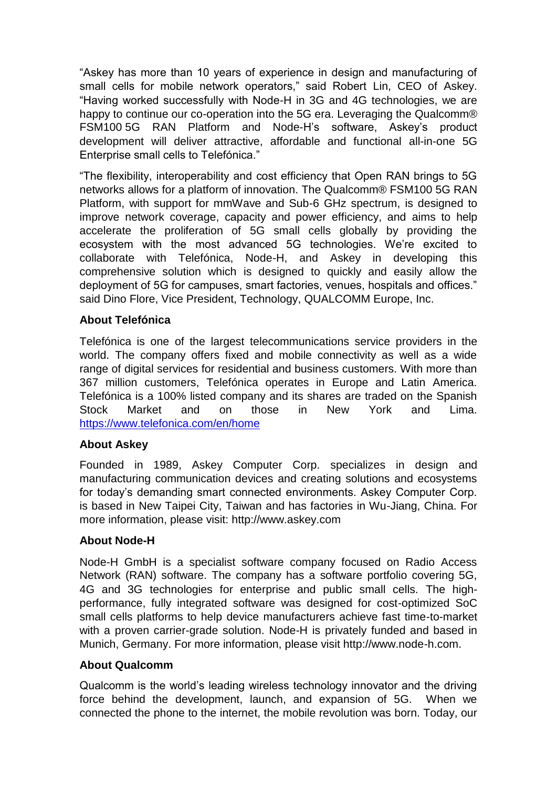"Askey has more than 10 years of experience in design and manufacturing of small cells for mobile network operators," said Robert Lin, CEO of Askey. "Having worked successfully with Node-H in 3G and 4G technologies, we are happy to continue our co-operation into the 5G era. Leveraging the Qualcomm® FSM100 5G RAN Platform and Node-H's software, Askey's product development will deliver attractive, affordable and functional all-in-one 5G Enterprise small cells to Telefónica."

"The flexibility, interoperability and cost efficiency that Open RAN brings to 5G networks allows for a platform of innovation. The Qualcomm® FSM100 5G RAN Platform, with support for mmWave and Sub-6 GHz spectrum, is designed to improve network coverage, capacity and power efficiency, and aims to help accelerate the proliferation of 5G small cells globally by providing the ecosystem with the most advanced 5G technologies. We're excited to collaborate with Telefónica, Node-H, and Askey in developing this comprehensive solution which is designed to quickly and easily allow the deployment of 5G for campuses, smart factories, venues, hospitals and offices." said Dino Flore, Vice President, Technology, QUALCOMM Europe, Inc.

## **About Telefónica**

Telefónica is one of the largest telecommunications service providers in the world. The company offers fixed and mobile connectivity as well as a wide range of digital services for residential and business customers. With more than 367 million customers, Telefónica operates in Europe and Latin America. Telefónica is a 100% listed company and its shares are traded on the Spanish Stock Market and on those in New York and Lima. <https://www.telefonica.com/en/home>

## **About Askey**

Founded in 1989, Askey Computer Corp. specializes in design and manufacturing communication devices and creating solutions and ecosystems for today's demanding smart connected environments. Askey Computer Corp. is based in New Taipei City, Taiwan and has factories in Wu-Jiang, China. For more information, please visit: http://www.askey.com

## **About Node-H**

Node-H GmbH is a specialist software company focused on Radio Access Network (RAN) software. The company has a software portfolio covering 5G, 4G and 3G technologies for enterprise and public small cells. The highperformance, fully integrated software was designed for cost-optimized SoC small cells platforms to help device manufacturers achieve fast time-to-market with a proven carrier-grade solution. Node-H is privately funded and based in Munich, Germany. For more information, please visit http://www.node-h.com.

## **About Qualcomm**

Qualcomm is the world's leading wireless technology innovator and the driving force behind the development, launch, and expansion of 5G. When we connected the phone to the internet, the mobile revolution was born. Today, our